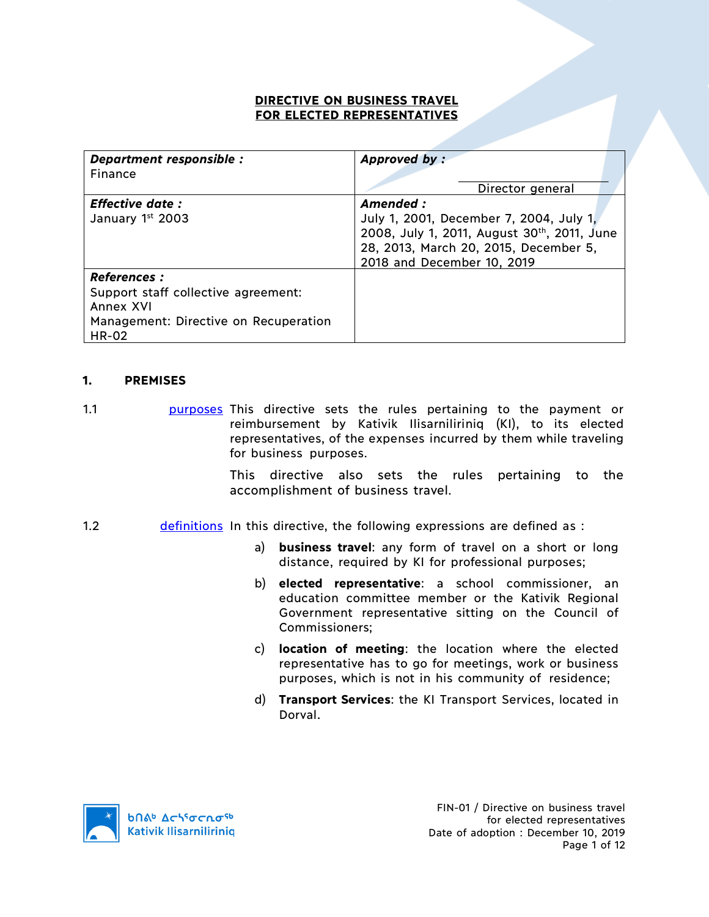### **DIRECTIVE ON BUSINESS TRAVEL FOR ELECTED REPRESENTATIVES**

| Department responsible :              | Approved by:                                |
|---------------------------------------|---------------------------------------------|
| Finance                               |                                             |
|                                       | Director general                            |
| <b>Effective date:</b>                | Amended:                                    |
| January 1st 2003                      | July 1, 2001, December 7, 2004, July 1,     |
|                                       | 2008, July 1, 2011, August 30th, 2011, June |
|                                       | 28, 2013, March 20, 2015, December 5,       |
|                                       | 2018 and December 10, 2019                  |
| <b>References :</b>                   |                                             |
| Support staff collective agreement:   |                                             |
| Annex XVI                             |                                             |
| Management: Directive on Recuperation |                                             |
| <b>HR-02</b>                          |                                             |

### **1. PREMISES**

1.1 **purposes** This directive sets the rules pertaining to the payment or reimbursement by Kativik Ilisarniliriniq (KI), to its elected representatives, of the expenses incurred by them while traveling for business purposes.

> This directive also sets the rules pertaining to the accomplishment of business travel.

- 1.2 **definitions** In this directive, the following expressions are defined as :
	- a) **business travel**: any form of travel on a short or long distance, required by KI for professional purposes;
	- b) **elected representative**: a school commissioner, an education committee member or the Kativik Regional Government representative sitting on the Council of Commissioners;
	- c) **location of meeting**: the location where the elected representative has to go for meetings, work or business purposes, which is not in his community of residence;
	- d) **Transport Services**: the KI Transport Services, located in Dorval.

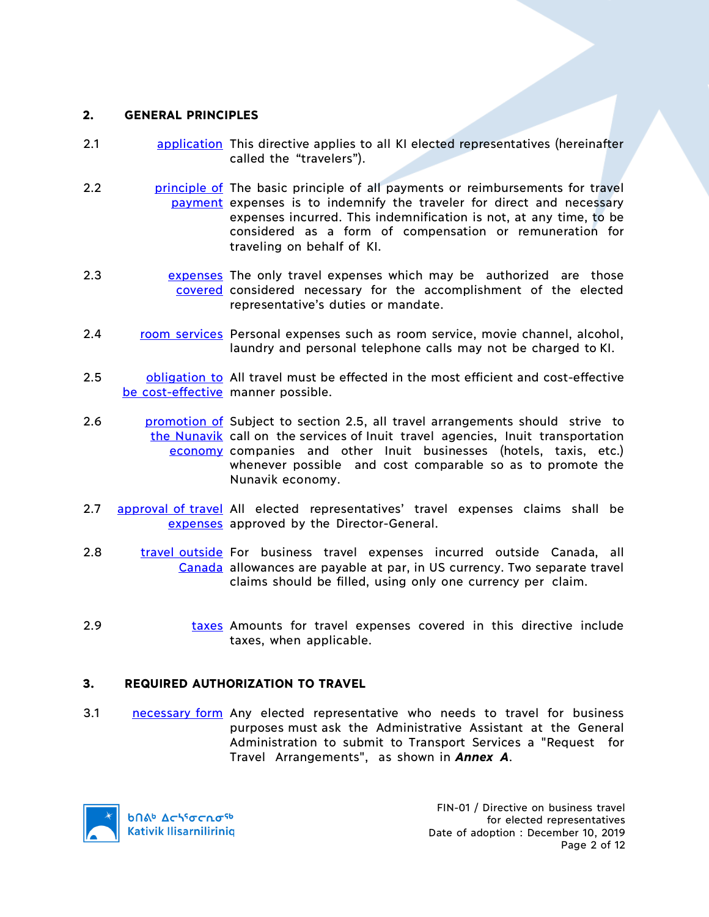### **2. GENERAL PRINCIPLES**

- 2.1 **application** This directive applies to all KI elected representatives (hereinafter called the "travelers").
- 2.2 **principle of** The basic principle of all payments or reimbursements for travel payment expenses is to indemnify the traveler for direct and necessary expenses incurred. This indemnification is not, at any time, to be considered as a form of compensation or remuneration for traveling on behalf of KI.
- 2.3 **Expenses** The only travel expenses which may be authorized are those covered considered necessary for the accomplishment of the elected representative's duties or mandate.
- 2.4 room services Personal expenses such as room service, movie channel, alcohol, laundry and personal telephone calls may not be charged to KI.
- 2.5 **b**obligation to All travel must be effected in the most efficient and cost-effective be cost-effective manner possible.
- 2.6 **promotion of Subject to section 2.5, all travel arrangements should strive to** the Nunavik call on the services of Inuit travel agencies, Inuit transportation economy companies and other Inuit businesses (hotels, taxis, etc.) whenever possible and cost comparable so as to promote the Nunavik economy.
- 2.7 approval of travel All elected representatives' travel expenses claims shall be expenses approved by the Director-General.
- 2.8 travel outside For business travel expenses incurred outside Canada, all Canada allowances are payable at par, in US currency. Two separate travel claims should be filled, using only one currency per claim.
- 2.9 taxes Amounts for travel expenses covered in this directive include taxes, when applicable.

### **3. REQUIRED AUTHORIZATION TO TRAVEL**

3.1 **necessary form** Any elected representative who needs to travel for business purposes must ask the Administrative Assistant at the General Administration to submit to Transport Services a "Request for Travel Arrangements", as shown in *Annex A*.

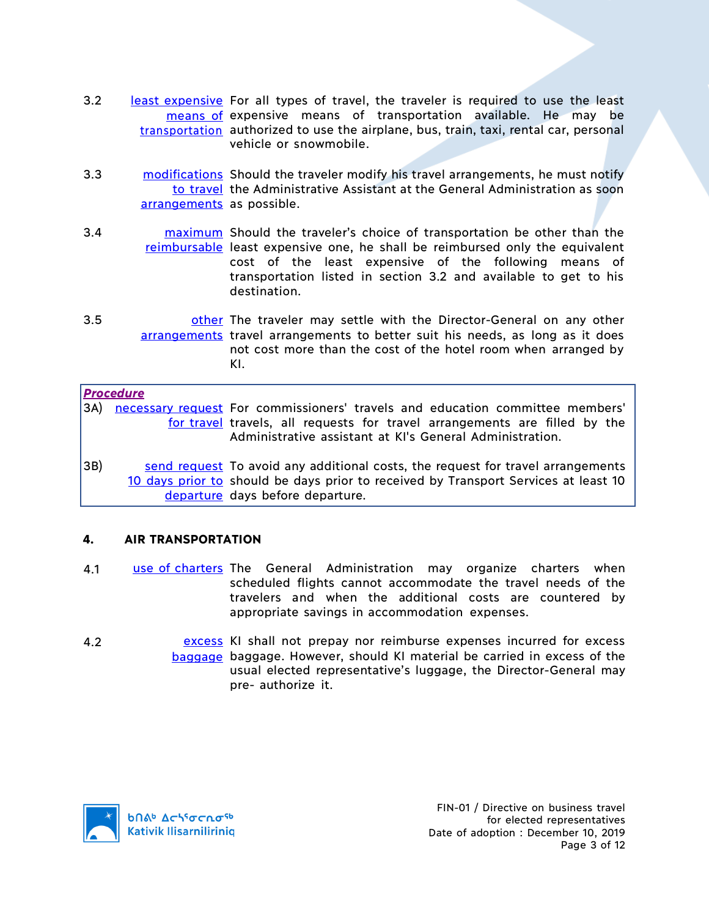- 3.2 least expensive For all types of travel, the traveler is required to use the least means of expensive means of transportation available. He may be transportation authorized to use the airplane, bus, train, taxi, rental car, personal vehicle or snowmobile.
- 3.3 modifications Should the traveler modify his travel arrangements, he must notify to travel the Administrative Assistant at the General Administration as soon arrangements as possible.
- 3.4 **maximum** Should the traveler's choice of transportation be other than the reimbursable least expensive one, he shall be reimbursed only the equivalent cost of the least expensive of the following means of transportation listed in section 3.2 and available to get to his destination.
- 3.5 **butcher on the traveler may settle with the Director-General on any other** arrangements travel arrangements to better suit his needs, as long as it does not cost more than the cost of the hotel room when arranged by KI.

#### *Procedure*

3A) necessary request For commissioners' travels and education committee members' for travel travels, all requests for travel arrangements are filled by the Administrative assistant at KI's General Administration.

3B) send request To avoid any additional costs, the request for travel arrangements 10 days prior to should be days prior to received by Transport Services at least 10 departure days before departure.

### **4. AIR TRANSPORTATION**

- 4.1 use of charters The General Administration may organize charters when scheduled flights cannot accommodate the travel needs of the travelers and when the additional costs are countered by appropriate savings in accommodation expenses.
- 4.2 excess KI shall not prepay nor reimburse expenses incurred for excess baggage baggage. However, should KI material be carried in excess of the usual elected representative's luggage, the Director-General may pre- authorize it.

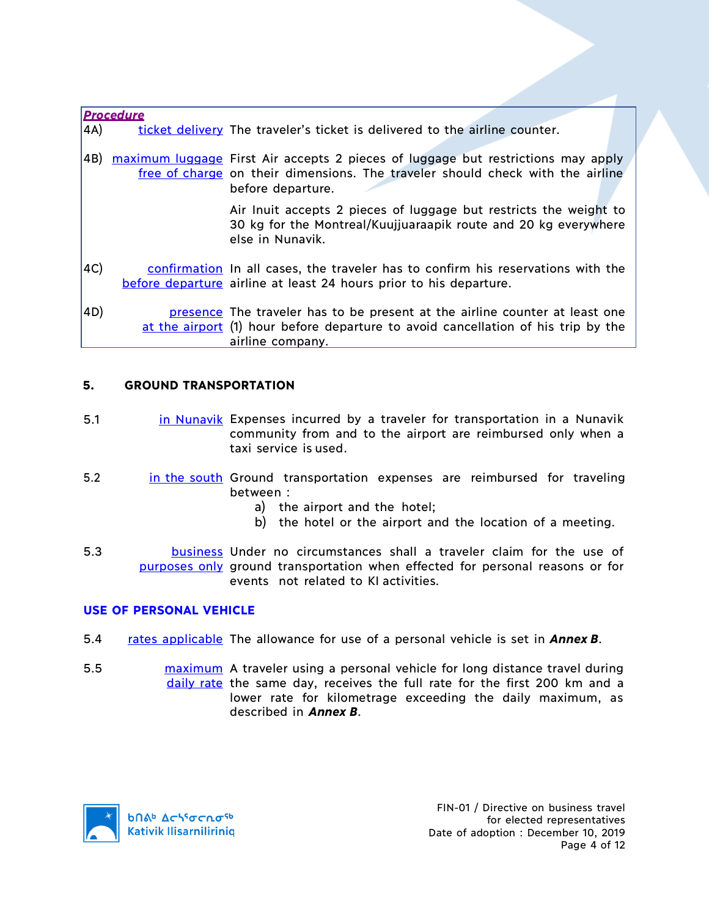|     | <b>Procedure</b> |                                                                                                                                                                                         |  |
|-----|------------------|-----------------------------------------------------------------------------------------------------------------------------------------------------------------------------------------|--|
| 4A) |                  | ticket delivery The traveler's ticket is delivered to the airline counter.                                                                                                              |  |
| 4B) |                  | maximum luggage First Air accepts 2 pieces of luggage but restrictions may apply<br>free of charge on their dimensions. The traveler should check with the airline<br>before departure. |  |
|     |                  | Air Inuit accepts 2 pieces of luggage but restricts the weight to<br>30 kg for the Montreal/Kuujjuaraapik route and 20 kg everywhere<br>else in Nunavik.                                |  |
| AC) |                  | confirmation In all cases, the traveler has to confirm his reservations with the<br>before departure airline at least 24 hours prior to his departure.                                  |  |
| 4D) |                  | presence The traveler has to be present at the airline counter at least one<br>at the airport (1) hour before departure to avoid cancellation of his trip by the<br>airline company.    |  |

# **5. GROUND TRANSPORTATION**

- 5.1 in Nunavik Expenses incurred by a traveler for transportation in a Nunavik community from and to the airport are reimbursed only when a taxi service is used.
- 5.2 in the south Ground transportation expenses are reimbursed for traveling between :
	- a) the airport and the hotel;
	- b) the hotel or the airport and the location of a meeting.
- 5.3 business Under no circumstances shall a traveler claim for the use of purposes only ground transportation when effected for personal reasons or for events not related to KI activities.

# **USE OF PERSONAL VEHICLE**

- 5.4 rates applicable The allowance for use of a personal vehicle is set in *Annex B*.
- 5.5 maximum A traveler using a personal vehicle for long distance travel during daily rate the same day, receives the full rate for the first 200 km and a lower rate for kilometrage exceeding the daily maximum, as described in *Annex B*.

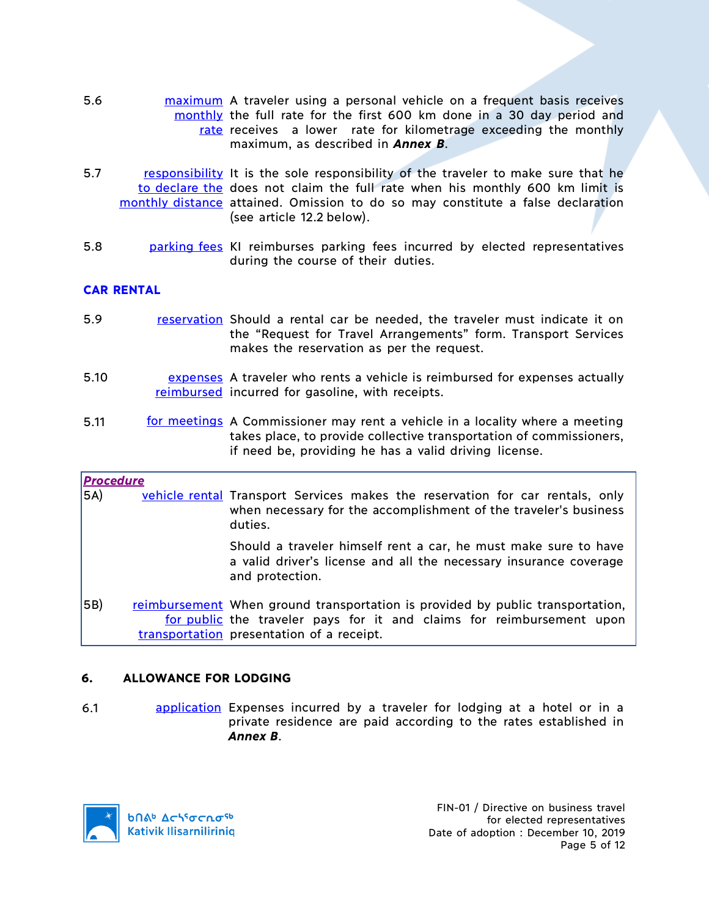- 5.6 **maximum** A traveler using a personal vehicle on a frequent basis receives monthly the full rate for the first 600 km done in a 30 day period and rate receives a lower rate for kilometrage exceeding the monthly maximum, as described in *Annex B*.
- 5.7 responsibility It is the sole responsibility of the traveler to make sure that he to declare the does not claim the full rate when his monthly 600 km limit is monthly distance attained. Omission to do so may constitute a false declaration (see article 12.2 below).
- 5.8 **parking fees KI reimburses parking fees incurred by elected representatives** during the course of their duties.

# **CAR RENTAL**

- 5.9 reservation Should a rental car be needed, the traveler must indicate it on the "Request for Travel Arrangements" form. Transport Services makes the reservation as per the request.
- 5.10 **EXPERSES** A traveler who rents a vehicle is reimbursed for expenses actually reimbursed incurred for gasoline, with receipts.
- 5.11 **for meetings** A Commissioner may rent a vehicle in a locality where a meeting takes place, to provide collective transportation of commissioners, if need be, providing he has a valid driving license.

| <b>Procedure</b> |                                                                                                                                                                                                      |
|------------------|------------------------------------------------------------------------------------------------------------------------------------------------------------------------------------------------------|
| 5A)              | vehicle rental Transport Services makes the reservation for car rentals, only<br>when necessary for the accomplishment of the traveler's business<br>duties.                                         |
|                  | Should a traveler himself rent a car, he must make sure to have<br>a valid driver's license and all the necessary insurance coverage<br>and protection.                                              |
| 5B)              | reimbursement When ground transportation is provided by public transportation,<br>for public the traveler pays for it and claims for reimbursement upon<br>transportation presentation of a receipt. |

# **6. ALLOWANCE FOR LODGING**

6.1 application Expenses incurred by a traveler for lodging at a hotel or in a private residence are paid according to the rates established in *Annex B*.

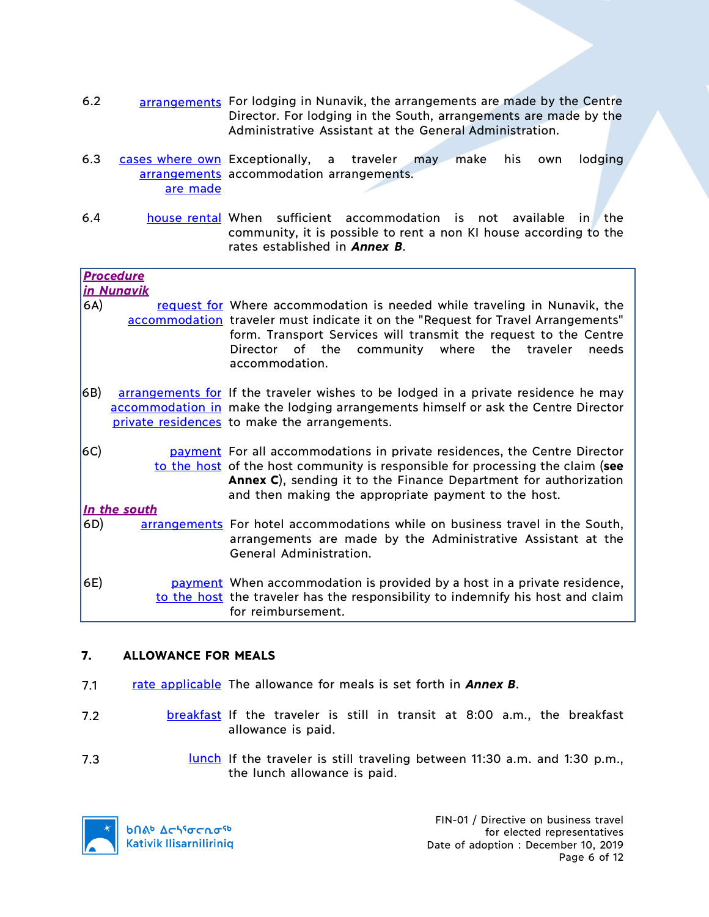- 6.2 arrangements For lodging in Nunavik, the arrangements are made by the Centre Director. For lodging in the South, arrangements are made by the Administrative Assistant at the General Administration.
- 6.3 cases where own Exceptionally, a traveler may make his own lodging arrangements accommodation arrangements. are made
- 6.4 house rental When sufficient accommodation is not available in the community, it is possible to rent a non KI house according to the rates established in *Annex B*.

|     | <u>Procedure</u>  |                                                                                                                                                                                                                                                                                                              |
|-----|-------------------|--------------------------------------------------------------------------------------------------------------------------------------------------------------------------------------------------------------------------------------------------------------------------------------------------------------|
|     | <u>in Nunavik</u> |                                                                                                                                                                                                                                                                                                              |
| 6A) |                   | request for Where accommodation is needed while traveling in Nunavik, the<br>accommodation traveler must indicate it on the "Request for Travel Arrangements"<br>form. Transport Services will transmit the request to the Centre<br>Director of the community where the traveler<br>needs<br>accommodation. |
| 6B) |                   | arrangements for If the traveler wishes to be lodged in a private residence he may<br>accommodation in make the lodging arrangements himself or ask the Centre Director<br>private residences to make the arrangements.                                                                                      |
| 6C) |                   | payment For all accommodations in private residences, the Centre Director<br>to the host of the host community is responsible for processing the claim (see<br>Annex C), sending it to the Finance Department for authorization<br>and then making the appropriate payment to the host.                      |
|     | In the south      |                                                                                                                                                                                                                                                                                                              |
| 6D) |                   | arrangements For hotel accommodations while on business travel in the South,<br>arrangements are made by the Administrative Assistant at the<br>General Administration.                                                                                                                                      |
| 6E) |                   | payment When accommodation is provided by a host in a private residence,<br>to the host the traveler has the responsibility to indemnify his host and claim<br>for reimbursement.                                                                                                                            |

# **7. ALLOWANCE FOR MEALS**

- 7.1 rate applicable The allowance for meals is set forth in *Annex B*.
- 7.2 **breakfast** If the traveler is still in transit at 8:00 a.m., the breakfast allowance is paid.
- 7.3 **lunch** If the traveler is still traveling between 11:30 a.m. and 1:30 p.m., the lunch allowance is paid.

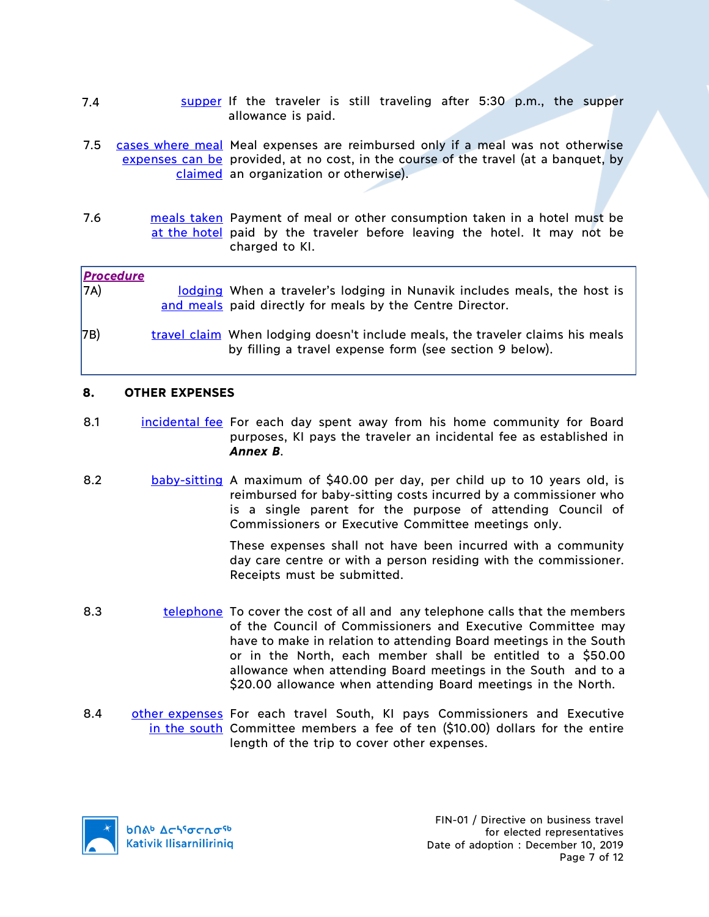- 7.4 **SUPPER 15 SUPPER 11 SUPPER 15 STILL TRANGER** 15 still traveling after 5:30 p.m., the supper allowance is paid.
- 7.5 cases where meal Meal expenses are reimbursed only if a meal was not otherwise expenses can be provided, at no cost, in the course of the travel (at a banquet, by claimed an organization or otherwise).
- 7.6 **meals taken** Payment of meal or other consumption taken in a hotel must be at the hotel paid by the traveler before leaving the hotel. It may not be charged to KI.

| <b>Procedure</b><br>7A) | lodging When a traveler's lodging in Nunavik includes meals, the host is<br>and meals paid directly for meals by the Centre Director.     |
|-------------------------|-------------------------------------------------------------------------------------------------------------------------------------------|
| 7B)                     | travel claim When lodging doesn't include meals, the traveler claims his meals<br>by filling a travel expense form (see section 9 below). |

# **8. OTHER EXPENSES**

- 8.1 incidental fee For each day spent away from his home community for Board purposes, KI pays the traveler an incidental fee as established in *Annex B*.
- 8.2 baby-sitting A maximum of \$40.00 per day, per child up to 10 years old, is reimbursed for baby-sitting costs incurred by a commissioner who is a single parent for the purpose of attending Council of Commissioners or Executive Committee meetings only.

These expenses shall not have been incurred with a community day care centre or with a person residing with the commissioner. Receipts must be submitted.

- 8.3 telephone To cover the cost of all and any telephone calls that the members of the Council of Commissioners and Executive Committee may have to make in relation to attending Board meetings in the South or in the North, each member shall be entitled to a \$50.00 allowance when attending Board meetings in the South and to a \$20.00 allowance when attending Board meetings in the North.
- 8.4 **other expenses** For each travel South, KI pays Commissioners and Executive in the south Committee members a fee of ten (\$10.00) dollars for the entire length of the trip to cover other expenses.

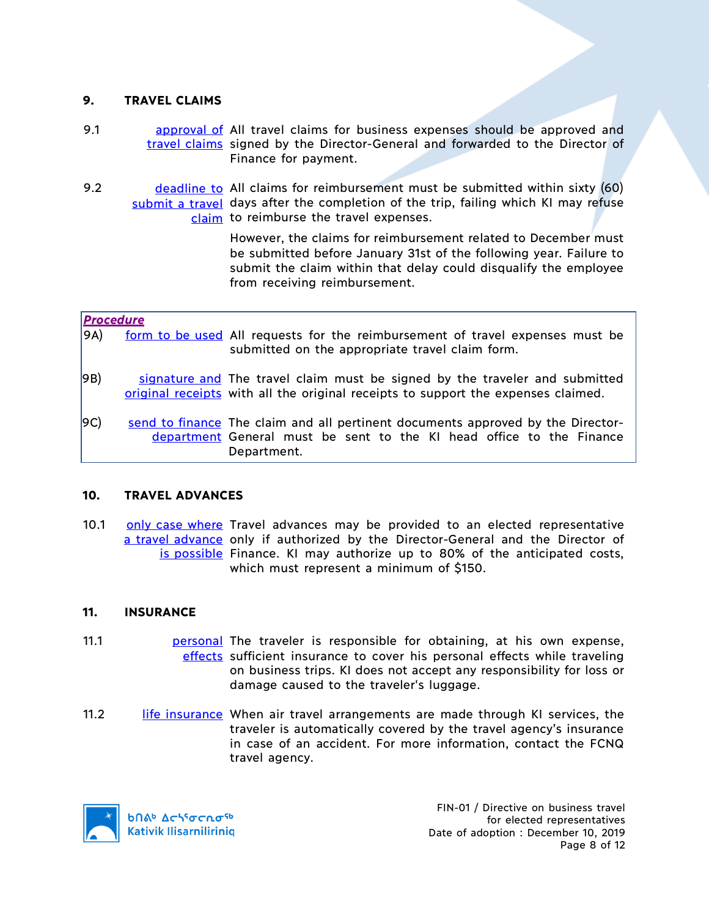### **9. TRAVEL CLAIMS**

- 9.1 **approval of All travel claims for business expenses should be approved and** travel claims signed by the Director-General and forwarded to the Director of Finance for payment.
- 9.2 deadline to All claims for reimbursement must be submitted within sixty (60) submit a travel days after the completion of the trip, failing which KI may refuse claim to reimburse the travel expenses.

However, the claims for reimbursement related to December must be submitted before January 31st of the following year. Failure to submit the claim within that delay could disqualify the employee from receiving reimbursement.

| <b>Procedure</b> |                                                                                                                                                                         |
|------------------|-------------------------------------------------------------------------------------------------------------------------------------------------------------------------|
| 9A)              | form to be used All requests for the reimbursement of travel expenses must be<br>submitted on the appropriate travel claim form.                                        |
| 9B)              | signature and The travel claim must be signed by the traveler and submitted<br>original receipts with all the original receipts to support the expenses claimed.        |
| 9C)              | send to finance. The claim and all pertinent documents approved by the Director-<br>department General must be sent to the KI head office to the Finance<br>Department. |

### **10. TRAVEL ADVANCES**

10.1 **only case where** Travel advances may be provided to an elected representative a travel advance only if authorized by the Director-General and the Director of is possible Finance. KI may authorize up to 80% of the anticipated costs, which must represent a minimum of \$150.

### **11. INSURANCE**

- 11.1 **personal** The traveler is responsible for obtaining, at his own expense, effects sufficient insurance to cover his personal effects while traveling on business trips. KI does not accept any responsibility for loss or damage caused to the traveler's luggage.
- 11.2 life insurance When air travel arrangements are made through KI services, the traveler is automatically covered by the travel agency's insurance in case of an accident. For more information, contact the FCNQ travel agency.

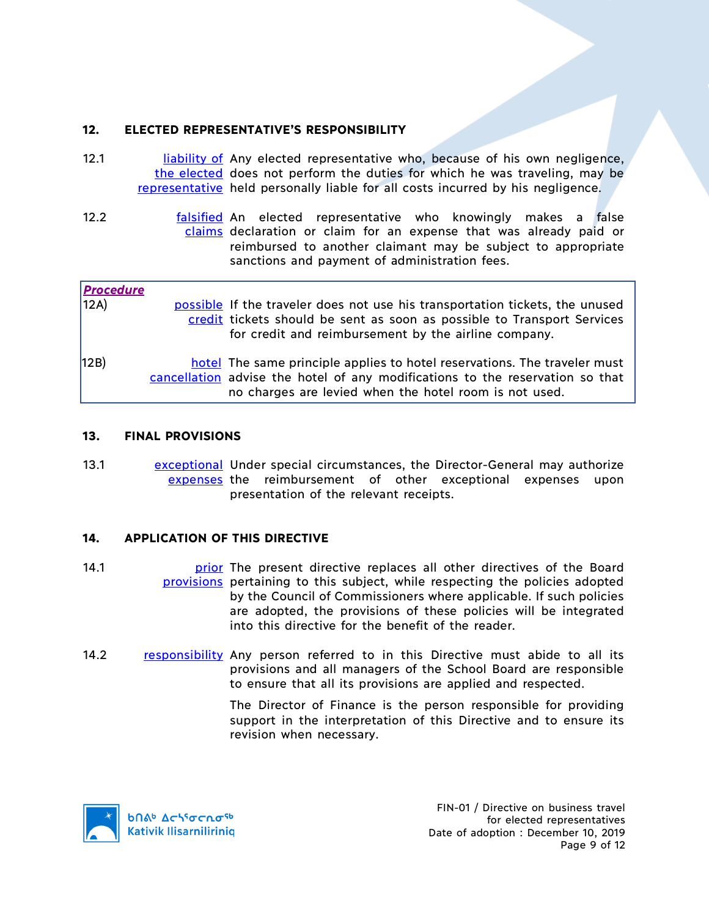# **12. ELECTED REPRESENTATIVE'S RESPONSIBILITY**

- 12.1 **liability of Any elected representative who, because of his own negligence,** the elected does not perform the duties for which he was traveling, may be representative held personally liable for all costs incurred by his negligence.
- 12.2 **falsified An elected representative who knowingly makes a false** claims declaration or claim for an expense that was already paid or reimbursed to another claimant may be subject to appropriate sanctions and payment of administration fees.

| <b>Procedure</b><br>12A) | possible If the traveler does not use his transportation tickets, the unused<br>credit tickets should be sent as soon as possible to Transport Services<br>for credit and reimbursement by the airline company.      |
|--------------------------|----------------------------------------------------------------------------------------------------------------------------------------------------------------------------------------------------------------------|
| 12B)                     | hotel The same principle applies to hotel reservations. The traveler must<br>cancellation advise the hotel of any modifications to the reservation so that<br>no charges are levied when the hotel room is not used. |

### **13. FINAL PROVISIONS**

13.1 **Example 12** exceptional Under special circumstances, the Director-General may authorize expenses the reimbursement of other exceptional expenses upon presentation of the relevant receipts.

# **14. APPLICATION OF THIS DIRECTIVE**

- 14.1 **14.1 prior** The present directive replaces all other directives of the Board provisions pertaining to this subject, while respecting the policies adopted by the Council of Commissioners where applicable. If such policies are adopted, the provisions of these policies will be integrated into this directive for the benefit of the reader.
- 14.2 responsibility Any person referred to in this Directive must abide to all its provisions and all managers of the School Board are responsible to ensure that all its provisions are applied and respected.

The Director of Finance is the person responsible for providing support in the interpretation of this Directive and to ensure its revision when necessary.

**b**በል<sup>b</sup> Δςιγσς κα<sup>ς 6</sup> **Kativik Ilisarniliriniq**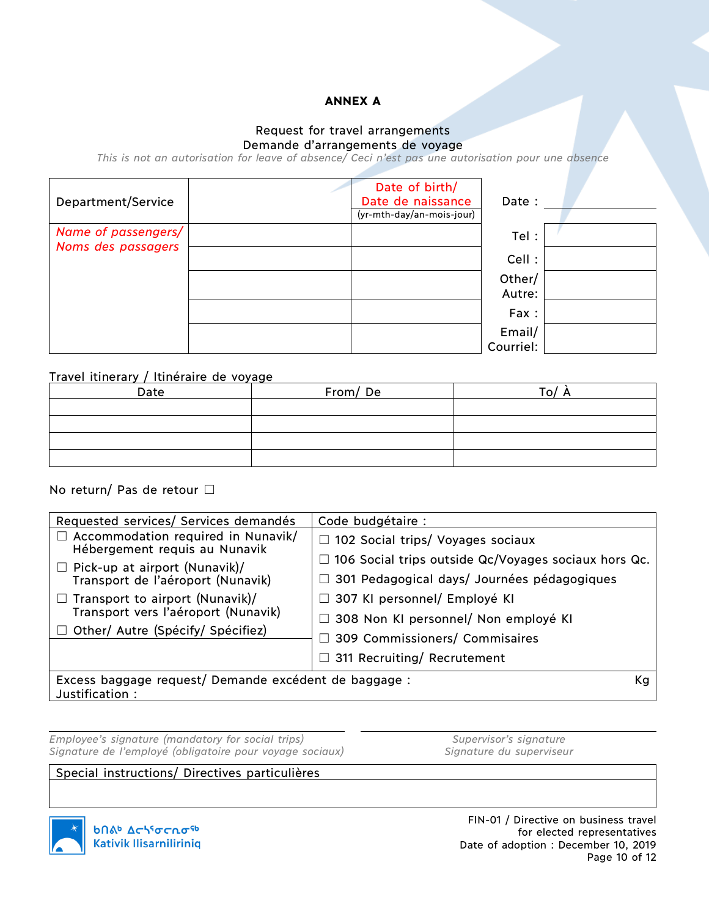# **ANNEX A**

#### Request for travel arrangements Demande d'arrangements de voyage

*This is not an autorisation for leave of absence/ Ceci n'est pas une autorisation pour une absence*

| Department/Service                        | Date of birth/<br>Date de naissance<br>(yr-mth-day/an-mois-jour) | Date :              |  |
|-------------------------------------------|------------------------------------------------------------------|---------------------|--|
| Name of passengers/<br>Noms des passagers |                                                                  | Tel:                |  |
|                                           |                                                                  | Cell:               |  |
|                                           |                                                                  | Other/<br>Autre:    |  |
|                                           |                                                                  | Fax:                |  |
|                                           |                                                                  | Email/<br>Courriel: |  |

#### Travel itinerary / Itinéraire de voyage

| Date | From/De | ּוס ד |
|------|---------|-------|
|      |         |       |
|      |         |       |
|      |         |       |
|      |         |       |

### No return/ Pas de retour □

| Requested services/ Services demandés                                      | Code budgétaire :                                           |  |
|----------------------------------------------------------------------------|-------------------------------------------------------------|--|
| $\Box$ Accommodation required in Nunavik/<br>Hébergement requis au Nunavik | $\Box$ 102 Social trips/ Voyages sociaux                    |  |
| $\Box$ Pick-up at airport (Nunavik)/                                       | $\Box$ 106 Social trips outside Qc/Voyages sociaux hors Qc. |  |
| Transport de l'aéroport (Nunavik)                                          | □ 301 Pedagogical days/ Journées pédagogiques               |  |
| $\Box$ Transport to airport (Nunavik)/                                     | □ 307 KI personnel/ Employé KI                              |  |
| Transport vers l'aéroport (Nunavik)                                        | $\Box$ 308 Non KI personnel/ Non employé KI                 |  |
| $\Box$ Other/ Autre (Spécify/ Spécifiez)                                   | 309 Commissioners/ Commisaires<br>r L                       |  |
|                                                                            |                                                             |  |
|                                                                            | $\Box$ 311 Recruiting/ Recrutement                          |  |
| Excess baggage request/ Demande excédent de baggage :                      |                                                             |  |

Justification :

*Employee's signature (mandatory for social trips) Supervisor's signature Signature de l'employé (obligatoire pour voyage sociaux) Signature du superviseur*

### Special instructions/ Directives particulières



FIN-01 / Directive on business travel for elected representatives Date of adoption : December 10, 2019 Page 10 of 12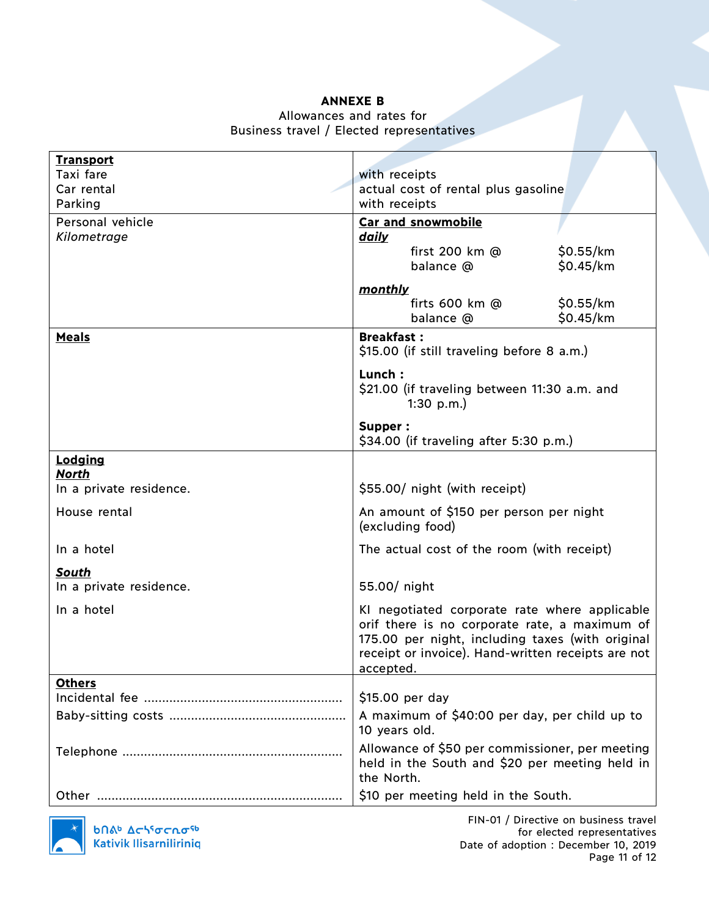### **ANNEXE B**

# Allowances and rates for Business travel / Elected representatives

| <b>Transport</b>        |                                                                                                                                                                                                                       |  |  |
|-------------------------|-----------------------------------------------------------------------------------------------------------------------------------------------------------------------------------------------------------------------|--|--|
| Taxi fare               | with receipts                                                                                                                                                                                                         |  |  |
| Car rental              | actual cost of rental plus gasoline                                                                                                                                                                                   |  |  |
| Parking                 | with receipts                                                                                                                                                                                                         |  |  |
| Personal vehicle        | Car and snowmobile                                                                                                                                                                                                    |  |  |
| Kilometrage             | <u>daily</u>                                                                                                                                                                                                          |  |  |
|                         | first 200 km @<br>\$0.55/km                                                                                                                                                                                           |  |  |
|                         | \$0.45/km<br>balance @                                                                                                                                                                                                |  |  |
|                         | <u>monthly</u>                                                                                                                                                                                                        |  |  |
|                         | firts $600 \text{ km}$ @<br>\$0.55/km                                                                                                                                                                                 |  |  |
|                         | \$0.45/km<br>balance @                                                                                                                                                                                                |  |  |
| <b>Meals</b>            | <b>Breakfast:</b>                                                                                                                                                                                                     |  |  |
|                         | \$15.00 (if still traveling before 8 a.m.)                                                                                                                                                                            |  |  |
|                         | Lunch:                                                                                                                                                                                                                |  |  |
|                         | \$21.00 (if traveling between 11:30 a.m. and                                                                                                                                                                          |  |  |
|                         | 1:30 $p.m.$ )                                                                                                                                                                                                         |  |  |
|                         | Supper:                                                                                                                                                                                                               |  |  |
|                         | \$34.00 (if traveling after 5:30 p.m.)                                                                                                                                                                                |  |  |
| Lodging<br><b>North</b> |                                                                                                                                                                                                                       |  |  |
| In a private residence. | \$55.00/ night (with receipt)                                                                                                                                                                                         |  |  |
| House rental            | An amount of \$150 per person per night<br>(excluding food)                                                                                                                                                           |  |  |
| In a hotel              | The actual cost of the room (with receipt)                                                                                                                                                                            |  |  |
| South                   |                                                                                                                                                                                                                       |  |  |
| In a private residence. | 55.00/ night                                                                                                                                                                                                          |  |  |
| In a hotel              | KI negotiated corporate rate where applicable<br>orif there is no corporate rate, a maximum of<br>175.00 per night, including taxes (with original<br>receipt or invoice). Hand-written receipts are not<br>accepted. |  |  |
| <b>Others</b>           |                                                                                                                                                                                                                       |  |  |
|                         | \$15.00 per day                                                                                                                                                                                                       |  |  |
|                         | A maximum of \$40:00 per day, per child up to<br>10 years old.                                                                                                                                                        |  |  |
|                         | Allowance of \$50 per commissioner, per meeting<br>held in the South and \$20 per meeting held in<br>the North.                                                                                                       |  |  |
|                         | \$10 per meeting held in the South.                                                                                                                                                                                   |  |  |



FIN-01 / Directive on business travel for elected representatives Date of adoption : December 10, 2019 Page 11 of 12